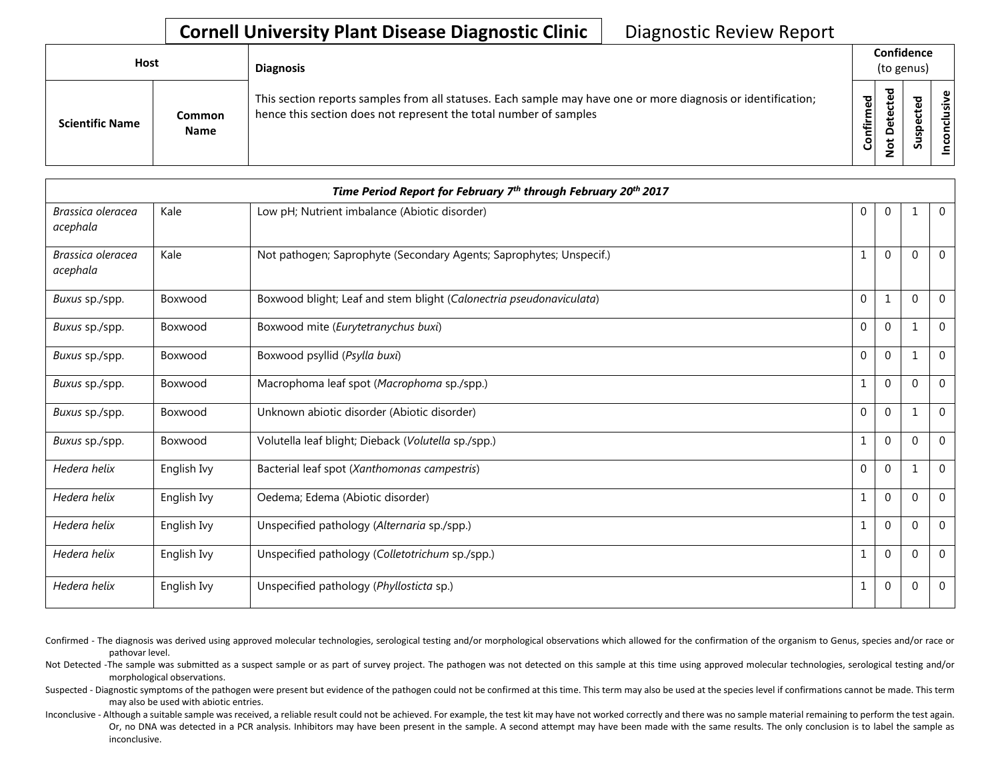## **Cornell University Plant Disease Diagnostic Clinic** | Diagnostic Review Report

| Host                   |                       | <b>Diagnosis</b>                                                                                                                                                                   |                  | Confidence<br>(to genus)        |                   |          |  |
|------------------------|-----------------------|------------------------------------------------------------------------------------------------------------------------------------------------------------------------------------|------------------|---------------------------------|-------------------|----------|--|
| <b>Scientific Name</b> | Common<br><b>Name</b> | This section reports samples from all statuses. Each sample may have one or more diagnosis or identification;<br>hence this section does not represent the total number of samples | ဥ<br>nfirm<br>ပြ | ᅙ<br>ω<br>ပ<br>Φ<br>Φ<br>پ<br>- | ъ<br>Φ<br>s<br>ഄഁ | ഄ<br>siy |  |

|                               |             | Time Period Report for February 7th through February 20th 2017      |              |                |              |                |
|-------------------------------|-------------|---------------------------------------------------------------------|--------------|----------------|--------------|----------------|
| Brassica oleracea<br>acephala | Kale        | Low pH; Nutrient imbalance (Abiotic disorder)                       | $\mathbf 0$  | $\mathbf 0$    |              | $\mathbf 0$    |
| Brassica oleracea<br>acephala | Kale        | Not pathogen; Saprophyte (Secondary Agents; Saprophytes; Unspecif.) |              | $\mathbf 0$    | $\Omega$     | $\mathbf{0}$   |
| Buxus sp./spp.                | Boxwood     | Boxwood blight; Leaf and stem blight (Calonectria pseudonaviculata) | $\mathbf{0}$ | 1              | $\Omega$     | $\Omega$       |
| Buxus sp./spp.                | Boxwood     | Boxwood mite (Eurytetranychus buxi)                                 | $\mathbf{0}$ | $\Omega$       | $\mathbf{1}$ | $\mathbf{0}$   |
| Buxus sp./spp.                | Boxwood     | Boxwood psyllid (Psylla buxi)                                       | $\mathbf{0}$ | $\Omega$       | 1            | $\Omega$       |
| Buxus sp./spp.                | Boxwood     | Macrophoma leaf spot (Macrophoma sp./spp.)                          | $\mathbf{1}$ | $\mathbf 0$    | $\Omega$     | $\mathbf{0}$   |
| Buxus sp./spp.                | Boxwood     | Unknown abiotic disorder (Abiotic disorder)                         | $\mathbf{0}$ | $\mathbf 0$    |              | $\overline{0}$ |
| Buxus sp./spp.                | Boxwood     | Volutella leaf blight; Dieback (Volutella sp./spp.)                 | 1            | $\mathbf{0}$   | $\Omega$     | $\Omega$       |
| Hedera helix                  | English Ivy | Bacterial leaf spot (Xanthomonas campestris)                        | $\mathbf{0}$ | $\overline{0}$ |              | $\mathbf 0$    |
| Hedera helix                  | English Ivy | Oedema; Edema (Abiotic disorder)                                    | 1            | $\mathbf{0}$   | $\Omega$     | $\mathbf{0}$   |
| Hedera helix                  | English Ivy | Unspecified pathology (Alternaria sp./spp.)                         | 1            | $\mathbf{0}$   | $\Omega$     | $\mathbf 0$    |
| Hedera helix                  | English Ivy | Unspecified pathology (Colletotrichum sp./spp.)                     | 1            | $\mathbf{0}$   | $\Omega$     | $\mathbf{0}$   |
| Hedera helix                  | English Ivy | Unspecified pathology (Phyllosticta sp.)                            | 1            | $\overline{0}$ | $\Omega$     | $\overline{0}$ |

- Confirmed The diagnosis was derived using approved molecular technologies, serological testing and/or morphological observations which allowed for the confirmation of the organism to Genus, species and/or race or pathovar level.
- Not Detected -The sample was submitted as a suspect sample or as part of survey project. The pathogen was not detected on this sample at this time using approved molecular technologies, serological testing and/or morphological observations.
- Suspected Diagnostic symptoms of the pathogen were present but evidence of the pathogen could not be confirmed at this time. This term may also be used at the species level if confirmations cannot be made. This term may also be used with abiotic entries.
- Inconclusive Although a suitable sample was received, a reliable result could not be achieved. For example, the test kit may have not worked correctly and there was no sample material remaining to perform the test again. Or, no DNA was detected in a PCR analysis. Inhibitors may have been present in the sample. A second attempt may have been made with the same results. The only conclusion is to label the sample as inconclusive.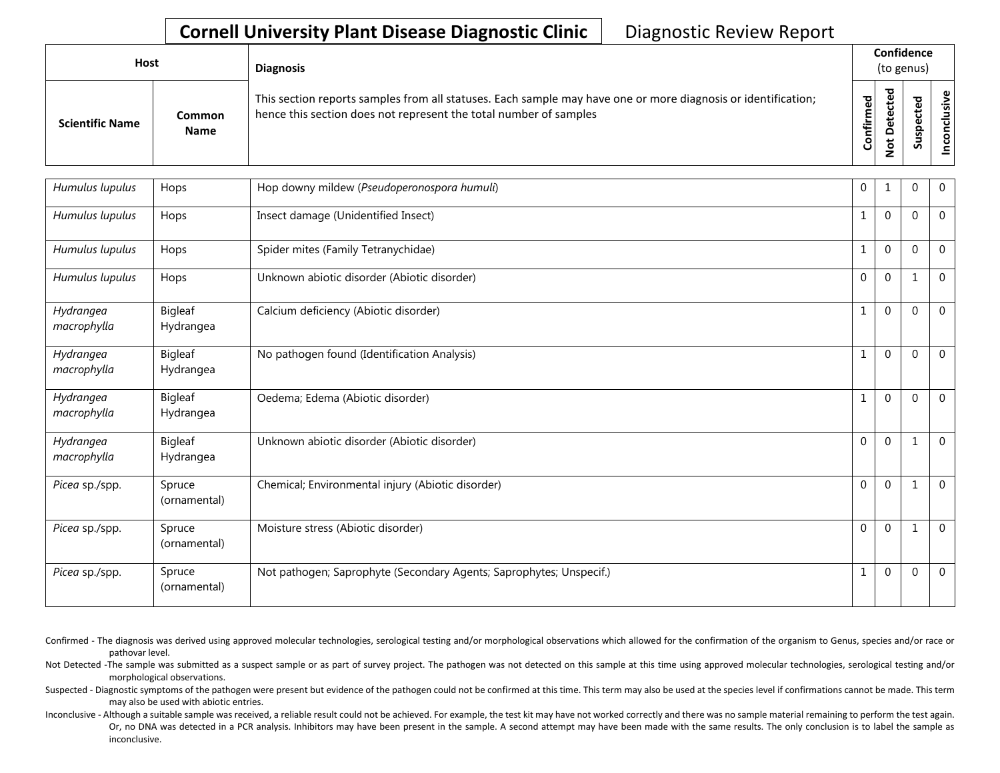## **Cornell University Plant Disease Diagnostic Clinic** | Diagnostic Review Report

| Host                   |                       | <b>Diagnosis</b>                                                                                                                                                                   |                    | Confidence<br>(to genus) |                                 |       |  |
|------------------------|-----------------------|------------------------------------------------------------------------------------------------------------------------------------------------------------------------------------|--------------------|--------------------------|---------------------------------|-------|--|
| <b>Scientific Name</b> | Common<br><b>Name</b> | This section reports samples from all statuses. Each sample may have one or more diagnosis or identification;<br>hence this section does not represent the total number of samples | ිත<br>ම<br>Confirm | ᇃ<br>$\Omega$<br>۰       | ъ<br>ω<br>o<br>௨<br>s<br>∍<br>n | usive |  |

| Humulus lupulus          | Hops                   | Hop downy mildew (Pseudoperonospora humuli)                         | $\mathbf 0$  |              | $\Omega$     | $\mathbf{0}$   |
|--------------------------|------------------------|---------------------------------------------------------------------|--------------|--------------|--------------|----------------|
| Humulus lupulus          | Hops                   | Insect damage (Unidentified Insect)                                 | 1            | $\Omega$     | $\Omega$     | $\Omega$       |
| Humulus lupulus          | Hops                   | Spider mites (Family Tetranychidae)                                 | 1            | $\mathbf{0}$ | $\Omega$     | $\mathbf{0}$   |
| Humulus lupulus          | Hops                   | Unknown abiotic disorder (Abiotic disorder)                         | $\mathbf 0$  | $\mathbf 0$  | 1            | $\overline{0}$ |
| Hydrangea<br>macrophylla | Bigleaf<br>Hydrangea   | Calcium deficiency (Abiotic disorder)                               | $\mathbf{1}$ | $\Omega$     | $\Omega$     | $\overline{0}$ |
| Hydrangea<br>macrophylla | Bigleaf<br>Hydrangea   | No pathogen found (Identification Analysis)                         | $\mathbf{1}$ | $\Omega$     | $\Omega$     | $\overline{0}$ |
| Hydrangea<br>macrophylla | Bigleaf<br>Hydrangea   | Oedema; Edema (Abiotic disorder)                                    | 1            | $\Omega$     | $\Omega$     | $\overline{0}$ |
| Hydrangea<br>macrophylla | Bigleaf<br>Hydrangea   | Unknown abiotic disorder (Abiotic disorder)                         | $\mathbf{0}$ | $\mathbf{0}$ | $\mathbf{1}$ | $\mathbf 0$    |
| Picea sp./spp.           | Spruce<br>(ornamental) | Chemical; Environmental injury (Abiotic disorder)                   | $\mathbf{0}$ | $\mathbf{0}$ | 1            | $\mathbf 0$    |
| Picea sp./spp.           | Spruce<br>(ornamental) | Moisture stress (Abiotic disorder)                                  | $\Omega$     | $\Omega$     | $\mathbf{1}$ | $\overline{0}$ |
| Picea sp./spp.           | Spruce<br>(ornamental) | Not pathogen; Saprophyte (Secondary Agents; Saprophytes; Unspecif.) | 1            | $\mathbf{0}$ | $\Omega$     | $\overline{0}$ |

- Confirmed The diagnosis was derived using approved molecular technologies, serological testing and/or morphological observations which allowed for the confirmation of the organism to Genus, species and/or race or pathovar level.
- Not Detected -The sample was submitted as a suspect sample or as part of survey project. The pathogen was not detected on this sample at this time using approved molecular technologies, serological testing and/or morphological observations.
- Suspected Diagnostic symptoms of the pathogen were present but evidence of the pathogen could not be confirmed at this time. This term may also be used at the species level if confirmations cannot be made. This term may also be used with abiotic entries.
- Inconclusive Although a suitable sample was received, a reliable result could not be achieved. For example, the test kit may have not worked correctly and there was no sample material remaining to perform the test again. Or, no DNA was detected in a PCR analysis. Inhibitors may have been present in the sample. A second attempt may have been made with the same results. The only conclusion is to label the sample as inconclusive.